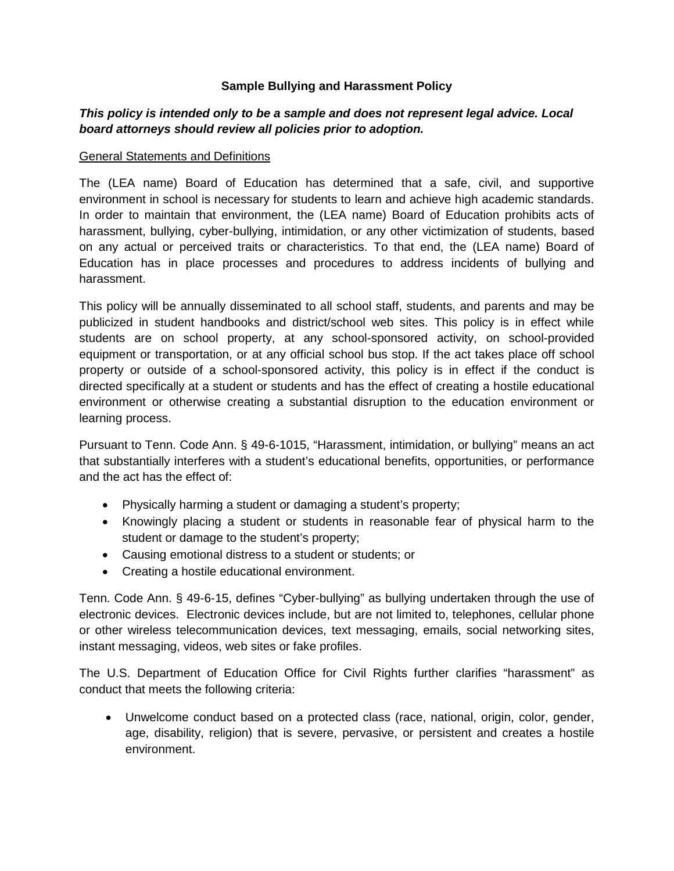## **Sample Bullying and Harassment Policy**

# *This policy is intended only to be a sample and does not represent legal advice. Local board attorneys should review all policies prior to adoption.*

#### General Statements and Definitions

The (LEA name) Board of Education has determined that a safe, civil, and supportive environment in school is necessary for students to learn and achieve high academic standards. In order to maintain that environment, the (LEA name) Board of Education prohibits acts of harassment, bullying, cyber-bullying, intimidation, or any other victimization of students, based on any actual or perceived traits or characteristics. To that end, the (LEA name) Board of Education has in place processes and procedures to address incidents of bullying and harassment.

This policy will be annually disseminated to all school staff, students, and parents and may be publicized in student handbooks and district/school web sites. This policy is in effect while students are on school property, at any school-sponsored activity, on school-provided equipment or transportation, or at any official school bus stop. If the act takes place off school property or outside of a school-sponsored activity, this policy is in effect if the conduct is directed specifically at a student or students and has the effect of creating a hostile educational environment or otherwise creating a substantial disruption to the education environment or learning process.

Pursuant to Tenn. Code Ann. § 49-6-1015, "Harassment, intimidation, or bullying" means an act that substantially interferes with a student's educational benefits, opportunities, or performance and the act has the effect of:

- Physically harming a student or damaging a student's property;
- Knowingly placing a student or students in reasonable fear of physical harm to the student or damage to the student's property;
- Causing emotional distress to a student or students; or
- Creating a hostile educational environment.

Tenn. Code Ann. § 49-6-15, defines "Cyber-bullying" as bullying undertaken through the use of electronic devices. Electronic devices include, but are not limited to, telephones, cellular phone or other wireless telecommunication devices, text messaging, emails, social networking sites, instant messaging, videos, web sites or fake profiles.

The U.S. Department of Education Office for Civil Rights further clarifies "harassment" as conduct that meets the following criteria:

• Unwelcome conduct based on a protected class (race, national, origin, color, gender, age, disability, religion) that is severe, pervasive, or persistent and creates a hostile environment.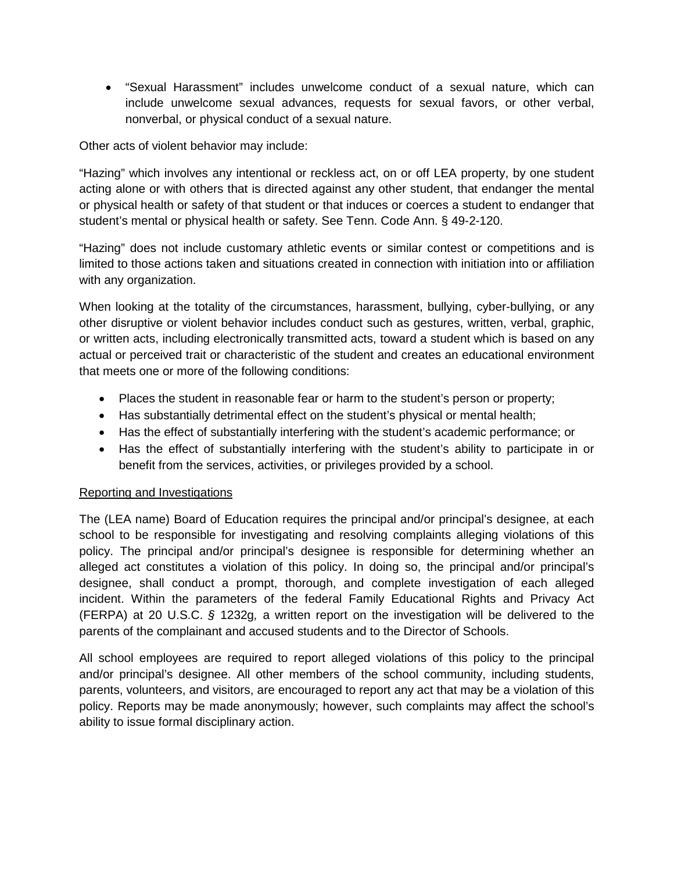• "Sexual Harassment" includes unwelcome conduct of a sexual nature, which can include unwelcome sexual advances, requests for sexual favors, or other verbal, nonverbal, or physical conduct of a sexual nature.

Other acts of violent behavior may include:

"Hazing" which involves any intentional or reckless act, on or off LEA property, by one student acting alone or with others that is directed against any other student, that endanger the mental or physical health or safety of that student or that induces or coerces a student to endanger that student's mental or physical health or safety. See Tenn. Code Ann. § 49-2-120.

"Hazing" does not include customary athletic events or similar contest or competitions and is limited to those actions taken and situations created in connection with initiation into or affiliation with any organization.

When looking at the totality of the circumstances, harassment, bullying, cyber-bullying, or any other disruptive or violent behavior includes conduct such as gestures, written, verbal, graphic, or written acts, including electronically transmitted acts, toward a student which is based on any actual or perceived trait or characteristic of the student and creates an educational environment that meets one or more of the following conditions:

- Places the student in reasonable fear or harm to the student's person or property;
- Has substantially detrimental effect on the student's physical or mental health;
- Has the effect of substantially interfering with the student's academic performance; or
- Has the effect of substantially interfering with the student's ability to participate in or benefit from the services, activities, or privileges provided by a school.

### Reporting and Investigations

The (LEA name) Board of Education requires the principal and/or principal's designee, at each school to be responsible for investigating and resolving complaints alleging violations of this policy. The principal and/or principal's designee is responsible for determining whether an alleged act constitutes a violation of this policy. In doing so, the principal and/or principal's designee, shall conduct a prompt, thorough, and complete investigation of each alleged incident. Within the parameters of the federal Family Educational Rights and Privacy Act (FERPA) at 20 U.S.C. *§* 1232g*,* a written report on the investigation will be delivered to the parents of the complainant and accused students and to the Director of Schools.

All school employees are required to report alleged violations of this policy to the principal and/or principal's designee. All other members of the school community, including students, parents, volunteers, and visitors, are encouraged to report any act that may be a violation of this policy. Reports may be made anonymously; however, such complaints may affect the school's ability to issue formal disciplinary action.